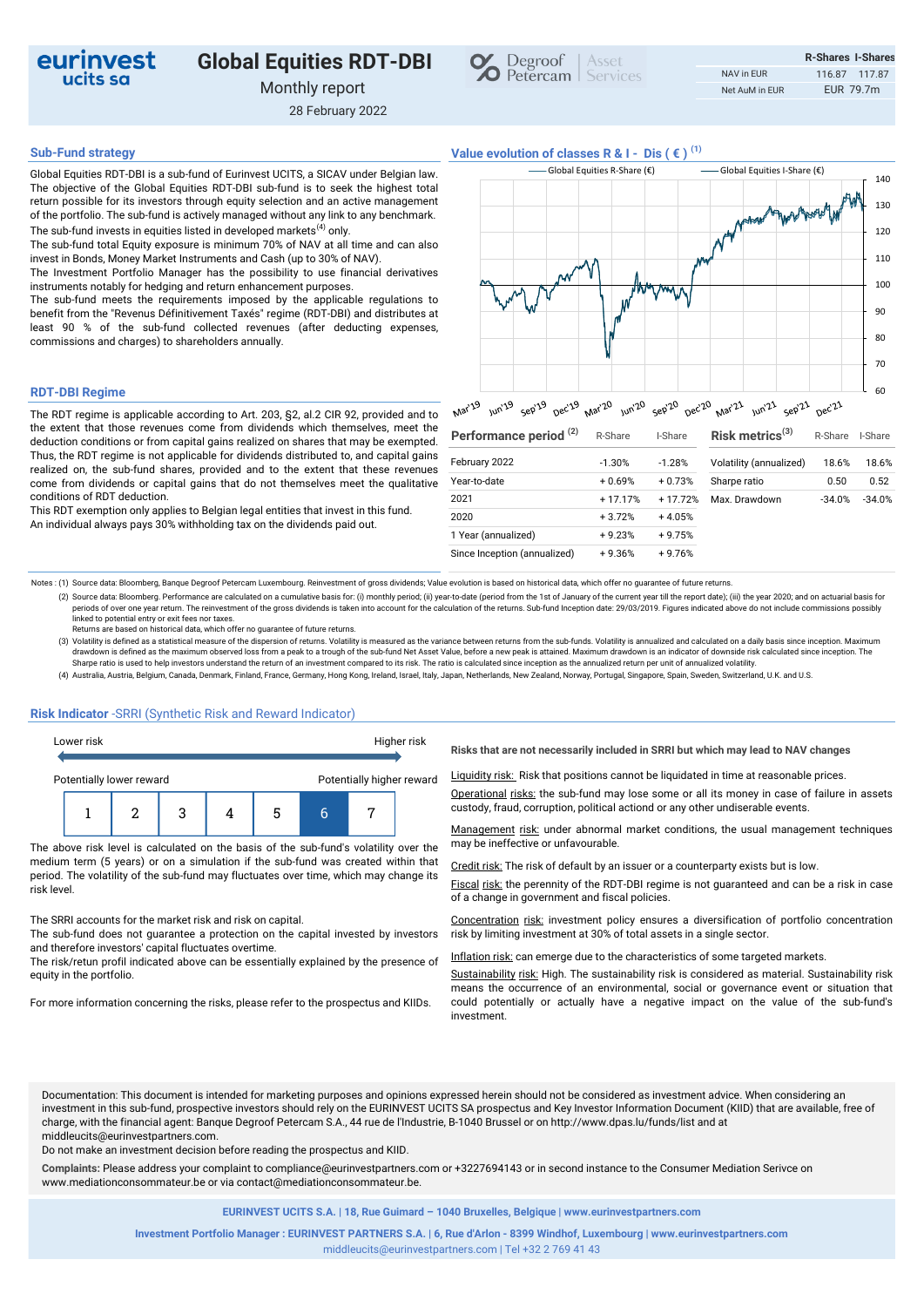

# **Global Equities RDT-DBI**

Monthly report

28 February 2022



## **Sub-Fund strategy Value evolution of classes R & I - Dis ( € )** <sup>(1)</sup>

Global Equities RDT-DBI is a sub-fund of Eurinvest UCITS, a SICAV under Belgian law. The objective of the Global Equities RDT-DBI sub-fund is to seek the highest total return possible for its investors through equity selection and an active management of the portfolio. The sub-fund is actively managed without any link to any benchmark. The sub-fund invests in equities listed in developed markets<sup>(4)</sup> only.

The sub-fund total Equity exposure is minimum 70% of NAV at all time and can also invest in Bonds, Money Market Instruments and Cash (up to 30% of NAV).

The Investment Portfolio Manager has the possibility to use financial derivatives instruments notably for hedging and return enhancement purposes.

The sub-fund meets the requirements imposed by the applicable regulations to benefit from the "Revenus Définitivement Taxés" regime (RDT-DBI) and distributes at least 90 % of the sub-fund collected revenues (after deducting expenses, commissions and charges) to shareholders annually.

### **RDT-DBI Regime**

The RDT regime is applicable according to Art. 203, §2, al.2 CIR 92, provided and to the extent that those revenues come from dividends which themselves, meet the deduction conditions or from capital gains realized on shares that may be exempted. Thus, the RDT regime is not applicable for dividends distributed to, and capital gains realized on, the sub-fund shares, provided and to the extent that these revenues come from dividends or capital gains that do not themselves meet the qualitative conditions of RDT deduction.

This RDT exemption only applies to Belgian legal entities that invest in this fund. An individual always pays 30% withholding tax on the dividends paid out.

|               | Global Equities R-Share $(\epsilon)$ |          |                                                                              | Global Equities I-Share (€) |                               |        | 140      |         |
|---------------|--------------------------------------|----------|------------------------------------------------------------------------------|-----------------------------|-------------------------------|--------|----------|---------|
|               |                                      |          |                                                                              |                             | No March and more work the of |        |          | 130     |
|               |                                      |          |                                                                              |                             |                               |        |          | 120     |
|               |                                      |          |                                                                              |                             |                               |        |          | 110     |
|               |                                      |          |                                                                              |                             |                               |        |          | 100     |
|               |                                      |          |                                                                              |                             |                               |        |          | 90      |
|               |                                      |          |                                                                              |                             |                               |        |          | 80      |
|               |                                      |          |                                                                              |                             |                               |        |          | 70      |
|               |                                      |          |                                                                              |                             |                               |        |          | 60      |
| Mar'19        |                                      |          | Jun'19 sep'19 Dec'19 Mar'20 Jun'20 sep'20 Dec'20 Mar'21 Jun'21 sep'21 Dec'21 |                             |                               |        |          |         |
|               | Performance period <sup>(2)</sup>    |          | R-Share                                                                      | I-Share                     | Risk metrics $(3)$            |        | R-Share  | I-Share |
| February 2022 |                                      | $-1.30%$ | $-1.28%$                                                                     | Volatility (annualized)     |                               | 18.6%  | 18.6%    |         |
| Year-to-date  |                                      | $+0.69%$ | $+0.73%$                                                                     | Sharpe ratio                |                               | 0.50   | 0.52     |         |
| 2021          |                                      | + 17.17% | $+17.72%$                                                                    | Max. Drawdown               |                               | -34.0% | $-34.0%$ |         |

Notes : (1) Source data: Bloomberg, Banque Degroof Petercam Luxembourg. Reinvestment of gross dividends; Value evolution is based on historical data, which offer no guarantee of future returns.

(2) Source data: Bloomberg. Performance are calculated on a cumulative basis for: (i) monthly period; (ii) year-to-date (period from the 1st of January of the current year till the report date); (iii) the year 2020; and on periods of over one year return. The reinvestment of the gross dividends is taken into account for the calculation of the returns. Sub-fund Inception date: 29/03/2019. Figures indicated above do not include commissions pos linked to potential entry or exit fees nor taxes.

2020

Returns are based on historical data, which offer no guarantee of future returns.

(3) Volatility is defined as a statistical measure of the dispersion of returns. Volatility is measured as the variance between returns from the sub-funds. Volatility is annualized and calculated on a daily basis since inc drawdown is defined as the maximum observed loss from a peak to a trough of the sub-fund Net Asset Value, before a new peak is attained. Maximum drawdown is an indicator of downside risk calculated since inception. The<br>Sha

(4) Australia, Austria, Belgium, Canada, Denmark, Finland, France, Germany, Hong Kong, Ireland, Israel, Italy, Japan, Netherlands, New Zealand, Norway, Portugal, Singapore, Spain, Sweden, Switzerland, U.K. and U.S.

#### **Risk Indicator** -SRRI (Synthetic Risk and Reward Indicator)

| Lower risk               |  |  |   |  |                           | Higher risk |  |
|--------------------------|--|--|---|--|---------------------------|-------------|--|
| Potentially lower reward |  |  |   |  | Potentially higher reward |             |  |
|                          |  |  | 3 |  | 5                         |             |  |

The above risk level is calculated on the basis of the sub-fund's volatility over the medium term (5 years) or on a simulation if the sub-fund was created within that period. The volatility of the sub-fund may fluctuates over time, which may change its risk level.

The SRRI accounts for the market risk and risk on capital.

The sub-fund does not guarantee a protection on the capital invested by investors and therefore investors' capital fluctuates overtime.

The risk/retun profil indicated above can be essentially explained by the presence of equity in the portfolio.

For more information concerning the risks, please refer to the prospectus and KIIDs.

**Risks that are not necessarily included in SRRI but which may lead to NAV changes** 

+ 3.72% + 4.05%

1 Year (annualized) + 9.23% + 9.75% Since Inception (annualized) + 9.36% + 9.76%

Liquidity risk: Risk that positions cannot be liquidated in time at reasonable prices.

Operational risks: the sub-fund may lose some or all its money in case of failure in assets custody, fraud, corruption, political actiond or any other undiserable events.

Management risk: under abnormal market conditions, the usual management techniques may be ineffective or unfavourable.

Credit risk: The risk of default by an issuer or a counterparty exists but is low.

Fiscal risk: the perennity of the RDT-DBI regime is not guaranteed and can be a risk in case of a change in government and fiscal policies.

Concentration risk: investment policy ensures a diversification of portfolio concentration risk by limiting investment at 30% of total assets in a single sector.

Inflation risk: can emerge due to the characteristics of some targeted markets.

Sustainability risk: High. The sustainability risk is considered as material. Sustainability risk means the occurrence of an environmental, social or governance event or situation that could potentially or actually have a negative impact on the value of the sub-fund's investment.

Documentation: This document is intended for marketing purposes and opinions expressed herein should not be considered as investment advice. When considering an investment in this sub-fund, prospective investors should rely on the EURINVEST UCITS SA prospectus and Key Investor Information Document (KIID) that are available, free of charge, with the financial agent: Banque Degroof Petercam S.A., 44 rue de l'Industrie, B-1040 Brussel or on http://www.dpas.lu/funds/list and at middleucits@eurinvestpartners.com.

Do not make an investment decision before reading the prospectus and KIID.

**Complaints:** Please address your complaint to compliance@eurinvestpartners.com or +3227694143 or in second instance to the Consumer Mediation Serivce on www.mediationconsommateur.be or via contact@mediationconsommateur.be.

**EURINVEST UCITS S.A. | 18, Rue Guimard – 1040 Bruxelles, Belgique | www.eurinvestpartners.com**

middleucits@eurinvestpartners.com | Tel +32 2 769 41 43 **Investment Portfolio Manager : EURINVEST PARTNERS S.A. | 6, Rue d'Arlon - 8399 Windhof, Luxembourg | www.eurinvestpartners.com**